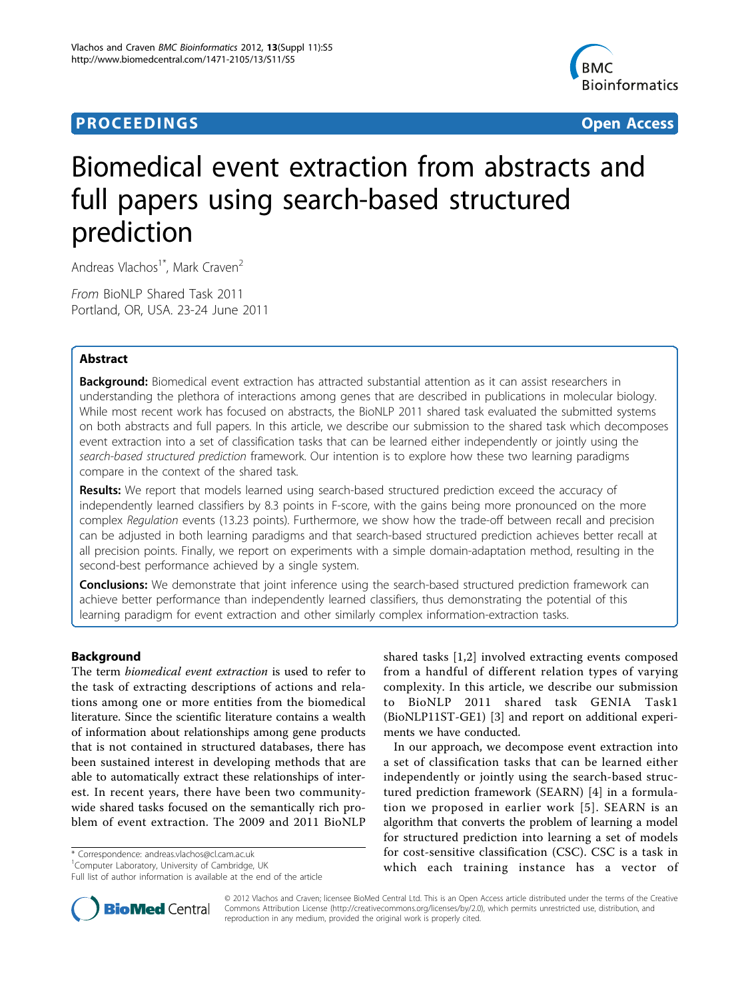# **PROCEEDINGS STATE ACCESS CONSUMING SECTION CONSUMING SECTION CONSUMING SECTION CONSUMING SECTION CONSUMING SECTION CONSUMING SECTION CONSUMING SECTION CONSUMING SECTION CONSUMING SECTION CONSUMING SECTION CONSUMING SE**



# Biomedical event extraction from abstracts and full papers using search-based structured prediction

Andreas Vlachos<sup>1\*</sup>, Mark Craven<sup>2</sup>

From BioNLP Shared Task 2011 Portland, OR, USA. 23-24 June 2011

# Abstract

Background: Biomedical event extraction has attracted substantial attention as it can assist researchers in understanding the plethora of interactions among genes that are described in publications in molecular biology. While most recent work has focused on abstracts, the BioNLP 2011 shared task evaluated the submitted systems on both abstracts and full papers. In this article, we describe our submission to the shared task which decomposes event extraction into a set of classification tasks that can be learned either independently or jointly using the search-based structured prediction framework. Our intention is to explore how these two learning paradigms compare in the context of the shared task.

Results: We report that models learned using search-based structured prediction exceed the accuracy of independently learned classifiers by 8.3 points in F-score, with the gains being more pronounced on the more complex Regulation events (13.23 points). Furthermore, we show how the trade-off between recall and precision can be adjusted in both learning paradigms and that search-based structured prediction achieves better recall at all precision points. Finally, we report on experiments with a simple domain-adaptation method, resulting in the second-best performance achieved by a single system.

**Conclusions:** We demonstrate that joint inference using the search-based structured prediction framework can achieve better performance than independently learned classifiers, thus demonstrating the potential of this learning paradigm for event extraction and other similarly complex information-extraction tasks.

# Background

The term biomedical event extraction is used to refer to the task of extracting descriptions of actions and relations among one or more entities from the biomedical literature. Since the scientific literature contains a wealth of information about relationships among gene products that is not contained in structured databases, there has been sustained interest in developing methods that are able to automatically extract these relationships of interest. In recent years, there have been two communitywide shared tasks focused on the semantically rich problem of event extraction. The 2009 and 2011 BioNLP

\* Correspondence: [andreas.vlachos@cl.cam.ac.uk](mailto:andreas.vlachos@cl.cam.ac.uk)

<sup>1</sup> Computer Laboratory, University of Cambridge, UK

Full list of author information is available at the end of the article

shared tasks [\[1,2\]](#page-9-0) involved extracting events composed from a handful of different relation types of varying complexity. In this article, we describe our submission to BioNLP 2011 shared task GENIA Task1 (BioNLP11ST-GE1) [[3\]](#page-9-0) and report on additional experiments we have conducted.

In our approach, we decompose event extraction into a set of classification tasks that can be learned either independently or jointly using the search-based structured prediction framework (SEARN) [[4\]](#page-9-0) in a formulation we proposed in earlier work [[5\]](#page-9-0). SEARN is an algorithm that converts the problem of learning a model for structured prediction into learning a set of models for cost-sensitive classification (CSC). CSC is a task in which each training instance has a vector of



© 2012 Vlachos and Craven; licensee BioMed Central Ltd. This is an Open Access article distributed under the terms of the Creative Commons Attribution License [\(http://creativecommons.org/licenses/by/2.0](http://creativecommons.org/licenses/by/2.0)), which permits unrestricted use, distribution, and reproduction in any medium, provided the original work is properly cited.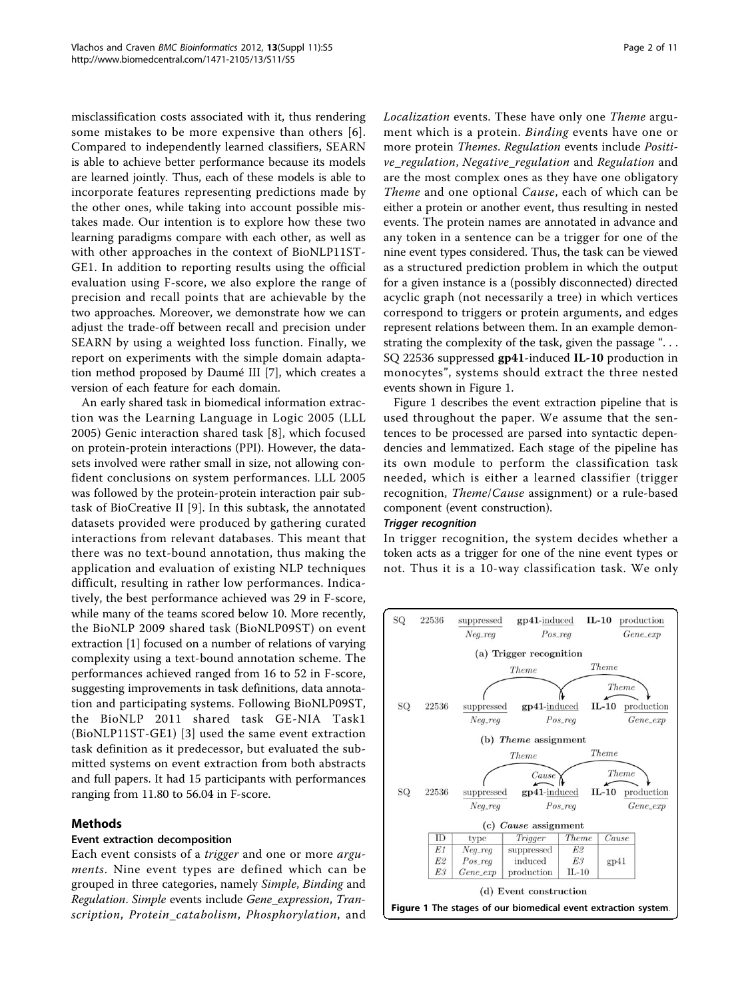misclassification costs associated with it, thus rendering some mistakes to be more expensive than others [[6\]](#page-9-0). Compared to independently learned classifiers, SEARN is able to achieve better performance because its models are learned jointly. Thus, each of these models is able to incorporate features representing predictions made by the other ones, while taking into account possible mistakes made. Our intention is to explore how these two learning paradigms compare with each other, as well as with other approaches in the context of BioNLP11ST-GE1. In addition to reporting results using the official evaluation using F-score, we also explore the range of precision and recall points that are achievable by the two approaches. Moreover, we demonstrate how we can adjust the trade-off between recall and precision under SEARN by using a weighted loss function. Finally, we report on experiments with the simple domain adaptation method proposed by Daumé III [[7](#page-9-0)], which creates a version of each feature for each domain.

An early shared task in biomedical information extraction was the Learning Language in Logic 2005 (LLL 2005) Genic interaction shared task [[8\]](#page-9-0), which focused on protein-protein interactions (PPI). However, the datasets involved were rather small in size, not allowing confident conclusions on system performances. LLL 2005 was followed by the protein-protein interaction pair subtask of BioCreative II [\[9](#page-9-0)]. In this subtask, the annotated datasets provided were produced by gathering curated interactions from relevant databases. This meant that there was no text-bound annotation, thus making the application and evaluation of existing NLP techniques difficult, resulting in rather low performances. Indicatively, the best performance achieved was 29 in F-score, while many of the teams scored below 10. More recently, the BioNLP 2009 shared task (BioNLP09ST) on event extraction [\[1](#page-9-0)] focused on a number of relations of varying complexity using a text-bound annotation scheme. The performances achieved ranged from 16 to 52 in F-score, suggesting improvements in task definitions, data annotation and participating systems. Following BioNLP09ST, the BioNLP 2011 shared task GE-NIA Task1 (BioNLP11ST-GE1) [[3](#page-9-0)] used the same event extraction task definition as it predecessor, but evaluated the submitted systems on event extraction from both abstracts and full papers. It had 15 participants with performances ranging from 11.80 to 56.04 in F-score.

## Methods

# Event extraction decomposition

Each event consists of a trigger and one or more arguments. Nine event types are defined which can be grouped in three categories, namely Simple, Binding and Regulation. Simple events include Gene\_expression, Transcription, Protein\_catabolism, Phosphorylation, and Localization events. These have only one Theme argument which is a protein. Binding events have one or more protein Themes. Regulation events include Positive\_regulation, Negative\_regulation and Regulation and are the most complex ones as they have one obligatory Theme and one optional Cause, each of which can be either a protein or another event, thus resulting in nested events. The protein names are annotated in advance and any token in a sentence can be a trigger for one of the nine event types considered. Thus, the task can be viewed as a structured prediction problem in which the output for a given instance is a (possibly disconnected) directed acyclic graph (not necessarily a tree) in which vertices correspond to triggers or protein arguments, and edges represent relations between them. In an example demonstrating the complexity of the task, given the passage "... SQ 22536 suppressed gp41-induced IL-10 production in monocytes", systems should extract the three nested

Figure 1 describes the event extraction pipeline that is used throughout the paper. We assume that the sentences to be processed are parsed into syntactic dependencies and lemmatized. Each stage of the pipeline has its own module to perform the classification task needed, which is either a learned classifier (trigger recognition, Theme/Cause assignment) or a rule-based component (event construction).

#### Trigger recognition

events shown in Figure 1.

In trigger recognition, the system decides whether a token acts as a trigger for one of the nine event types or not. Thus it is a 10-way classification task. We only

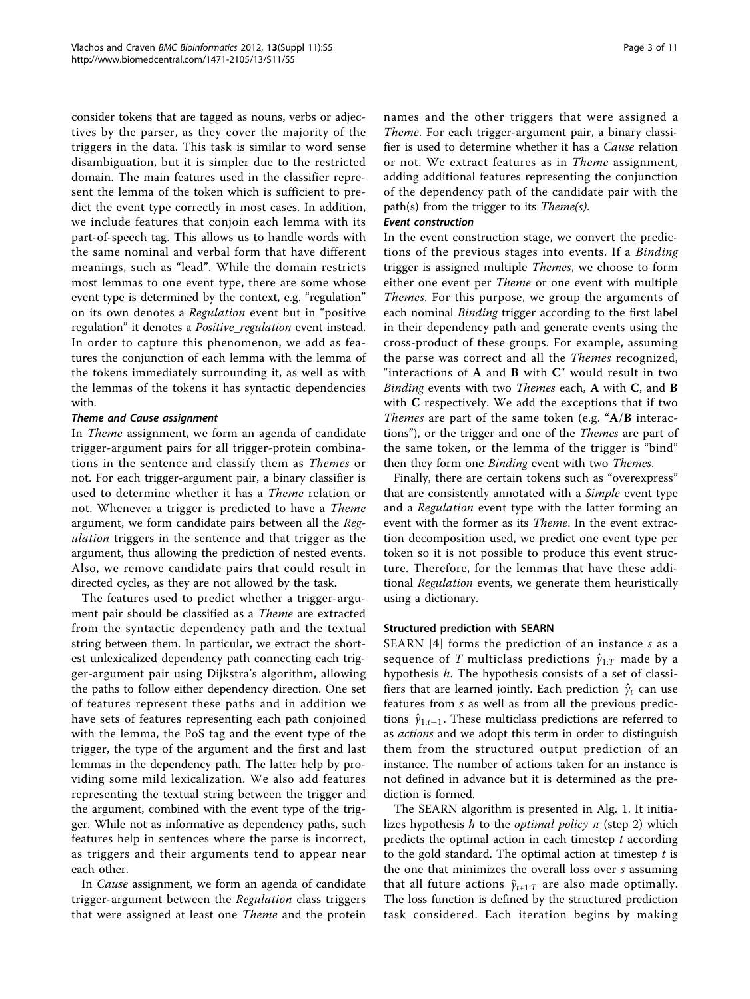consider tokens that are tagged as nouns, verbs or adjectives by the parser, as they cover the majority of the triggers in the data. This task is similar to word sense disambiguation, but it is simpler due to the restricted domain. The main features used in the classifier represent the lemma of the token which is sufficient to predict the event type correctly in most cases. In addition, we include features that conjoin each lemma with its part-of-speech tag. This allows us to handle words with the same nominal and verbal form that have different meanings, such as "lead". While the domain restricts most lemmas to one event type, there are some whose event type is determined by the context, e.g. "regulation" on its own denotes a Regulation event but in "positive regulation" it denotes a *Positive regulation* event instead. In order to capture this phenomenon, we add as features the conjunction of each lemma with the lemma of the tokens immediately surrounding it, as well as with the lemmas of the tokens it has syntactic dependencies with.

## Theme and Cause assignment

In Theme assignment, we form an agenda of candidate trigger-argument pairs for all trigger-protein combinations in the sentence and classify them as Themes or not. For each trigger-argument pair, a binary classifier is used to determine whether it has a Theme relation or not. Whenever a trigger is predicted to have a Theme argument, we form candidate pairs between all the Regulation triggers in the sentence and that trigger as the argument, thus allowing the prediction of nested events. Also, we remove candidate pairs that could result in directed cycles, as they are not allowed by the task.

The features used to predict whether a trigger-argument pair should be classified as a Theme are extracted from the syntactic dependency path and the textual string between them. In particular, we extract the shortest unlexicalized dependency path connecting each trigger-argument pair using Dijkstra's algorithm, allowing the paths to follow either dependency direction. One set of features represent these paths and in addition we have sets of features representing each path conjoined with the lemma, the PoS tag and the event type of the trigger, the type of the argument and the first and last lemmas in the dependency path. The latter help by providing some mild lexicalization. We also add features representing the textual string between the trigger and the argument, combined with the event type of the trigger. While not as informative as dependency paths, such features help in sentences where the parse is incorrect, as triggers and their arguments tend to appear near each other.

In Cause assignment, we form an agenda of candidate trigger-argument between the Regulation class triggers that were assigned at least one *Theme* and the protein names and the other triggers that were assigned a Theme. For each trigger-argument pair, a binary classifier is used to determine whether it has a Cause relation or not. We extract features as in Theme assignment, adding additional features representing the conjunction of the dependency path of the candidate pair with the path(s) from the trigger to its *Theme(s)*.

# Event construction

In the event construction stage, we convert the predictions of the previous stages into events. If a Binding trigger is assigned multiple Themes, we choose to form either one event per *Theme* or one event with multiple Themes. For this purpose, we group the arguments of each nominal *Binding* trigger according to the first label in their dependency path and generate events using the cross-product of these groups. For example, assuming the parse was correct and all the Themes recognized, "interactions of  $A$  and  $B$  with  $C$ " would result in two Binding events with two Themes each,  $A$  with  $C$ , and  $B$ with C respectively. We add the exceptions that if two Themes are part of the same token (e.g. "A/B interactions"), or the trigger and one of the Themes are part of the same token, or the lemma of the trigger is "bind" then they form one Binding event with two Themes.

Finally, there are certain tokens such as "overexpress" that are consistently annotated with a Simple event type and a Regulation event type with the latter forming an event with the former as its Theme. In the event extraction decomposition used, we predict one event type per token so it is not possible to produce this event structure. Therefore, for the lemmas that have these additional Regulation events, we generate them heuristically using a dictionary.

# Structured prediction with SEARN

SEARN [[4](#page-9-0)] forms the prediction of an instance s as a sequence of T multiclass predictions  $\hat{y}_{1:T}$  made by a hypothesis h. The hypothesis consists of a set of classifiers that are learned jointly. Each prediction  $\hat{y}_t$  can use features from s as well as from all the previous predictions  $\hat{y}_{1:t-1}$ . These multiclass predictions are referred to as actions and we adopt this term in order to distinguish them from the structured output prediction of an instance. The number of actions taken for an instance is not defined in advance but it is determined as the prediction is formed.

The SEARN algorithm is presented in Alg. 1. It initializes hypothesis h to the *optimal policy*  $\pi$  (step 2) which predicts the optimal action in each timestep  $t$  according to the gold standard. The optimal action at timestep  $t$  is the one that minimizes the overall loss over  $s$  assuming that all future actions  $\hat{y}_{t+1:T}$  are also made optimally. The loss function is defined by the structured prediction task considered. Each iteration begins by making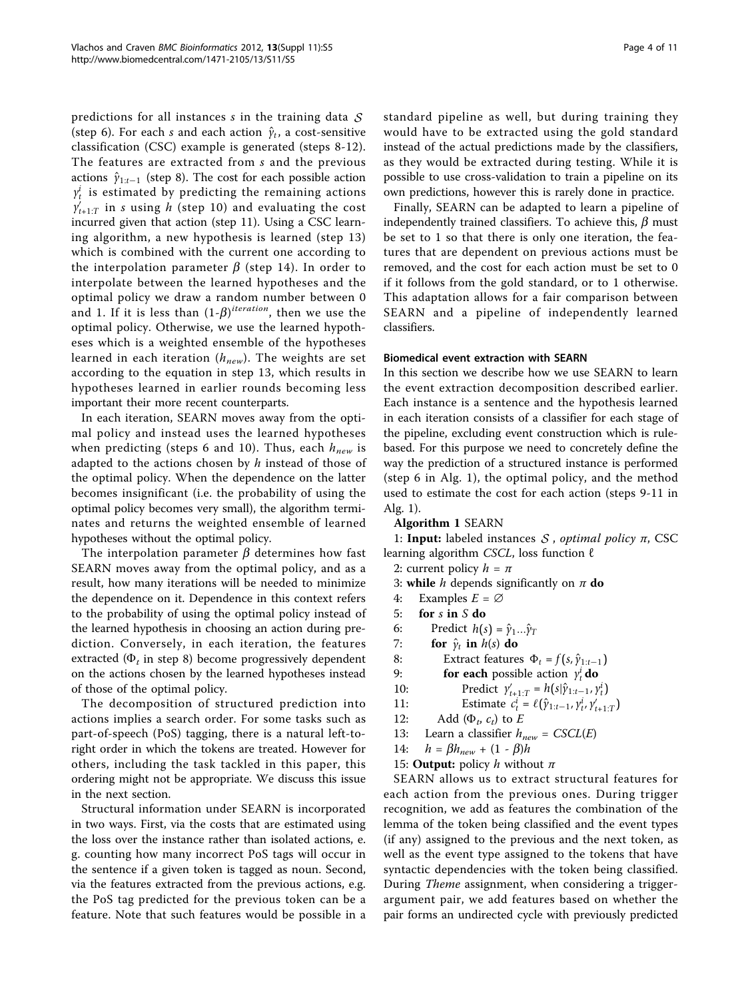predictions for all instances s in the training data *S* (step 6). For each s and each action  $\hat{y}_t$ , a cost-sensitive classification (CSC) example is generated (steps 8-12). The features are extracted from s and the previous actions  $\hat{y}_{1:t-1}$  (step 8). The cost for each possible action  $y_t^i$  is estimated by predicting the remaining actions  $\gamma'_{t+1:T}$  in  $s$  using  $h$  (step 10) and evaluating the cost incurred given that action (step 11). Using a CSC learning algorithm, a new hypothesis is learned (step 13) which is combined with the current one according to the interpolation parameter  $\beta$  (step 14). In order to interpolate between the learned hypotheses and the optimal policy we draw a random number between 0 and 1. If it is less than  $\left(1\text{-}\beta\right)^{iteration}$ , then we use the optimal policy. Otherwise, we use the learned hypotheses which is a weighted ensemble of the hypotheses learned in each iteration  $(h_{new})$ . The weights are set according to the equation in step 13, which results in hypotheses learned in earlier rounds becoming less important their more recent counterparts.

In each iteration, SEARN moves away from the optimal policy and instead uses the learned hypotheses when predicting (steps 6 and 10). Thus, each  $h_{new}$  is adapted to the actions chosen by  $h$  instead of those of the optimal policy. When the dependence on the latter becomes insignificant (i.e. the probability of using the optimal policy becomes very small), the algorithm terminates and returns the weighted ensemble of learned hypotheses without the optimal policy.

The interpolation parameter  $\beta$  determines how fast SEARN moves away from the optimal policy, and as a result, how many iterations will be needed to minimize the dependence on it. Dependence in this context refers to the probability of using the optimal policy instead of the learned hypothesis in choosing an action during prediction. Conversely, in each iteration, the features extracted ( $\Phi_t$  in step 8) become progressively dependent on the actions chosen by the learned hypotheses instead of those of the optimal policy.

The decomposition of structured prediction into actions implies a search order. For some tasks such as part-of-speech (PoS) tagging, there is a natural left-toright order in which the tokens are treated. However for others, including the task tackled in this paper, this ordering might not be appropriate. We discuss this issue in the next section.

Structural information under SEARN is incorporated in two ways. First, via the costs that are estimated using the loss over the instance rather than isolated actions, e. g. counting how many incorrect PoS tags will occur in the sentence if a given token is tagged as noun. Second, via the features extracted from the previous actions, e.g. the PoS tag predicted for the previous token can be a feature. Note that such features would be possible in a standard pipeline as well, but during training they would have to be extracted using the gold standard instead of the actual predictions made by the classifiers, as they would be extracted during testing. While it is possible to use cross-validation to train a pipeline on its own predictions, however this is rarely done in practice.

Finally, SEARN can be adapted to learn a pipeline of independently trained classifiers. To achieve this,  $\beta$  must be set to 1 so that there is only one iteration, the features that are dependent on previous actions must be removed, and the cost for each action must be set to 0 if it follows from the gold standard, or to 1 otherwise. This adaptation allows for a fair comparison between SEARN and a pipeline of independently learned classifiers.

#### Biomedical event extraction with SEARN

In this section we describe how we use SEARN to learn the event extraction decomposition described earlier. Each instance is a sentence and the hypothesis learned in each iteration consists of a classifier for each stage of the pipeline, excluding event construction which is rulebased. For this purpose we need to concretely define the way the prediction of a structured instance is performed (step 6 in Alg. 1), the optimal policy, and the method used to estimate the cost for each action (steps 9-11 in Alg. 1).

Algorithm 1 SEARN

1: Input: labeled instances *S* , optimal policy π, CSC learning algorithm CSCL, loss function  $\ell$ 

- 2: current policy  $h = \pi$
- 3: while h depends significantly on  $\pi$  do
- 4: Examples  $E = \emptyset$
- 5: for s in S do
- 6: Predict  $h(s) = \hat{y}_1...\hat{y}_T$ <br>7: **for**  $\hat{y}_t$  **in**  $h(s)$  **do**
- 7: **for**  $\hat{y}_t$  **in**  $h(s)$  **do**<br>8: **Extract feature**
- 8: Extract features  $\Phi_t = f(s, \hat{y}_{1:t-1})$
- 9: **for each** possible action  $\gamma_t^i$  do
- 10: Predict  $\gamma'_{t+1:T} = h(s|\hat{y}_{1:t-1}, y_t^i)$
- 11: Estimate  $c_t^i = \ell(\hat{y}_{1:t-1}, y_t^i, y_{t+1:T}^i)$
- 12: Add  $(\Phi_t, c_t)$  to E
- 13: Learn a classifier  $h_{new} = \text{CSCL}(E)$
- 14:  $h = \beta h_{new} + (1 \beta)h$
- 15: **Output:** policy h without  $\pi$

SEARN allows us to extract structural features for each action from the previous ones. During trigger recognition, we add as features the combination of the lemma of the token being classified and the event types (if any) assigned to the previous and the next token, as well as the event type assigned to the tokens that have syntactic dependencies with the token being classified. During Theme assignment, when considering a triggerargument pair, we add features based on whether the pair forms an undirected cycle with previously predicted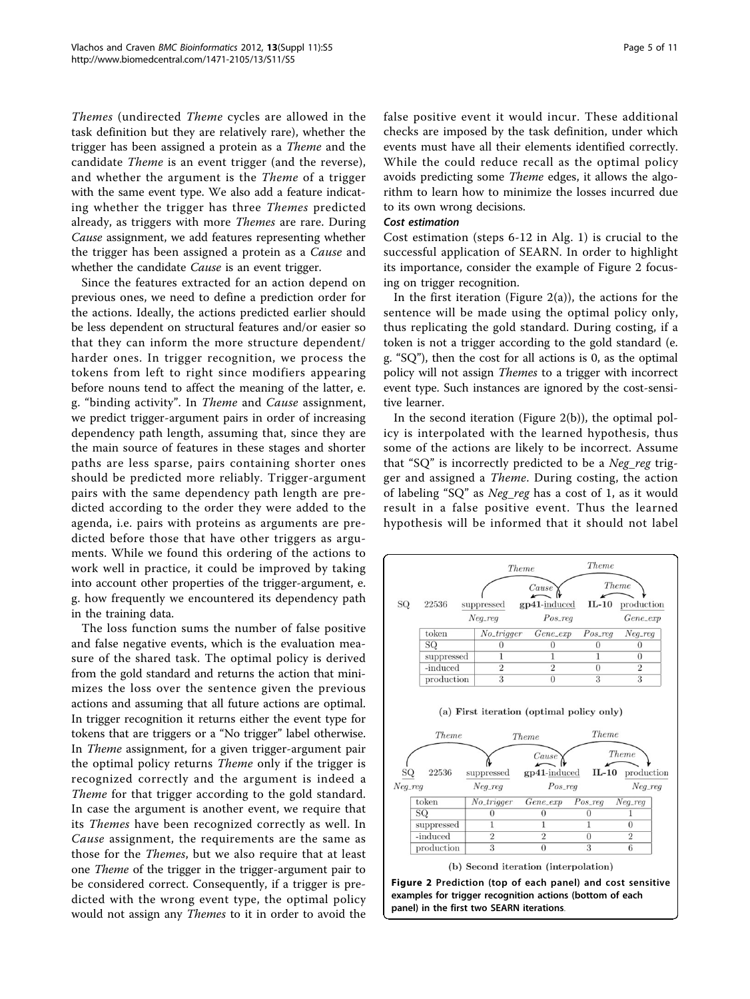<span id="page-4-0"></span>Themes (undirected Theme cycles are allowed in the task definition but they are relatively rare), whether the trigger has been assigned a protein as a Theme and the candidate Theme is an event trigger (and the reverse), and whether the argument is the Theme of a trigger with the same event type. We also add a feature indicating whether the trigger has three Themes predicted already, as triggers with more Themes are rare. During Cause assignment, we add features representing whether the trigger has been assigned a protein as a Cause and whether the candidate *Cause* is an event trigger.

Since the features extracted for an action depend on previous ones, we need to define a prediction order for the actions. Ideally, the actions predicted earlier should be less dependent on structural features and/or easier so that they can inform the more structure dependent/ harder ones. In trigger recognition, we process the tokens from left to right since modifiers appearing before nouns tend to affect the meaning of the latter, e. g. "binding activity". In Theme and Cause assignment, we predict trigger-argument pairs in order of increasing dependency path length, assuming that, since they are the main source of features in these stages and shorter paths are less sparse, pairs containing shorter ones should be predicted more reliably. Trigger-argument pairs with the same dependency path length are predicted according to the order they were added to the agenda, i.e. pairs with proteins as arguments are predicted before those that have other triggers as arguments. While we found this ordering of the actions to work well in practice, it could be improved by taking into account other properties of the trigger-argument, e. g. how frequently we encountered its dependency path in the training data.

The loss function sums the number of false positive and false negative events, which is the evaluation measure of the shared task. The optimal policy is derived from the gold standard and returns the action that minimizes the loss over the sentence given the previous actions and assuming that all future actions are optimal. In trigger recognition it returns either the event type for tokens that are triggers or a "No trigger" label otherwise. In *Theme* assignment, for a given trigger-argument pair the optimal policy returns Theme only if the trigger is recognized correctly and the argument is indeed a Theme for that trigger according to the gold standard. In case the argument is another event, we require that its Themes have been recognized correctly as well. In Cause assignment, the requirements are the same as those for the Themes, but we also require that at least one Theme of the trigger in the trigger-argument pair to be considered correct. Consequently, if a trigger is predicted with the wrong event type, the optimal policy would not assign any Themes to it in order to avoid the false positive event it would incur. These additional checks are imposed by the task definition, under which events must have all their elements identified correctly. While the could reduce recall as the optimal policy avoids predicting some Theme edges, it allows the algorithm to learn how to minimize the losses incurred due to its own wrong decisions.

#### Cost estimation

Cost estimation (steps 6-12 in Alg. 1) is crucial to the successful application of SEARN. In order to highlight its importance, consider the example of Figure 2 focusing on trigger recognition.

In the first iteration (Figure 2(a)), the actions for the sentence will be made using the optimal policy only, thus replicating the gold standard. During costing, if a token is not a trigger according to the gold standard (e. g. "SQ"), then the cost for all actions is 0, as the optimal policy will not assign Themes to a trigger with incorrect event type. Such instances are ignored by the cost-sensitive learner.

In the second iteration (Figure 2(b)), the optimal policy is interpolated with the learned hypothesis, thus some of the actions are likely to be incorrect. Assume that "SQ" is incorrectly predicted to be a Neg\_reg trigger and assigned a *Theme*. During costing, the action of labeling "SQ" as Neg\_reg has a cost of 1, as it would result in a false positive event. Thus the learned hypothesis will be informed that it should not label

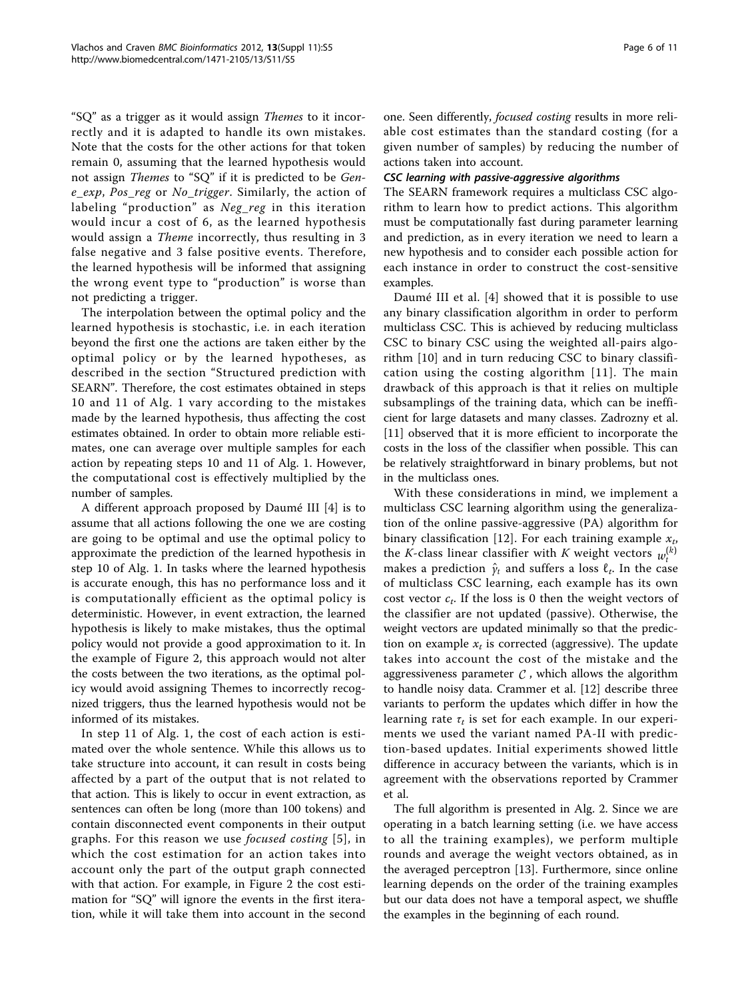"SQ" as a trigger as it would assign Themes to it incorrectly and it is adapted to handle its own mistakes. Note that the costs for the other actions for that token remain 0, assuming that the learned hypothesis would not assign Themes to "SQ" if it is predicted to be Gene\_exp, Pos\_reg or No\_trigger. Similarly, the action of labeling "production" as Neg\_reg in this iteration would incur a cost of 6, as the learned hypothesis would assign a Theme incorrectly, thus resulting in 3 false negative and 3 false positive events. Therefore, the learned hypothesis will be informed that assigning the wrong event type to "production" is worse than not predicting a trigger.

The interpolation between the optimal policy and the learned hypothesis is stochastic, i.e. in each iteration beyond the first one the actions are taken either by the optimal policy or by the learned hypotheses, as described in the section "Structured prediction with SEARN". Therefore, the cost estimates obtained in steps 10 and 11 of Alg. 1 vary according to the mistakes made by the learned hypothesis, thus affecting the cost estimates obtained. In order to obtain more reliable estimates, one can average over multiple samples for each action by repeating steps 10 and 11 of Alg. 1. However, the computational cost is effectively multiplied by the number of samples.

A different approach proposed by Daumé III [[4\]](#page-9-0) is to assume that all actions following the one we are costing are going to be optimal and use the optimal policy to approximate the prediction of the learned hypothesis in step 10 of Alg. 1. In tasks where the learned hypothesis is accurate enough, this has no performance loss and it is computationally efficient as the optimal policy is deterministic. However, in event extraction, the learned hypothesis is likely to make mistakes, thus the optimal policy would not provide a good approximation to it. In the example of Figure [2](#page-4-0), this approach would not alter the costs between the two iterations, as the optimal policy would avoid assigning Themes to incorrectly recognized triggers, thus the learned hypothesis would not be informed of its mistakes.

In step 11 of Alg. 1, the cost of each action is estimated over the whole sentence. While this allows us to take structure into account, it can result in costs being affected by a part of the output that is not related to that action. This is likely to occur in event extraction, as sentences can often be long (more than 100 tokens) and contain disconnected event components in their output graphs. For this reason we use focused costing [\[5\]](#page-9-0), in which the cost estimation for an action takes into account only the part of the output graph connected with that action. For example, in Figure [2](#page-4-0) the cost estimation for "SQ" will ignore the events in the first iteration, while it will take them into account in the second one. Seen differently, focused costing results in more reliable cost estimates than the standard costing (for a given number of samples) by reducing the number of actions taken into account.

# CSC learning with passive-aggressive algorithms

The SEARN framework requires a multiclass CSC algorithm to learn how to predict actions. This algorithm must be computationally fast during parameter learning and prediction, as in every iteration we need to learn a new hypothesis and to consider each possible action for each instance in order to construct the cost-sensitive examples.

Daumé III et al. [\[4](#page-9-0)] showed that it is possible to use any binary classification algorithm in order to perform multiclass CSC. This is achieved by reducing multiclass CSC to binary CSC using the weighted all-pairs algorithm [[10\]](#page-9-0) and in turn reducing CSC to binary classification using the costing algorithm [[11\]](#page-10-0). The main drawback of this approach is that it relies on multiple subsamplings of the training data, which can be inefficient for large datasets and many classes. Zadrozny et al. [[11\]](#page-10-0) observed that it is more efficient to incorporate the costs in the loss of the classifier when possible. This can be relatively straightforward in binary problems, but not in the multiclass ones.

With these considerations in mind, we implement a multiclass CSC learning algorithm using the generalization of the online passive-aggressive (PA) algorithm for binary classification [[12](#page-10-0)]. For each training example  $x_t$ , the *K*-class linear classifier with *K* weight vectors  $w_t^{(k)}$ makes a prediction  $\hat{y}_t$  and suffers a loss  $\ell_t$ . In the case of multiclass CSC learning, each example has its own cost vector  $c_t$ . If the loss is 0 then the weight vectors of the classifier are not updated (passive). Otherwise, the weight vectors are updated minimally so that the prediction on example  $x_t$  is corrected (aggressive). The update takes into account the cost of the mistake and the aggressiveness parameter  $C$ , which allows the algorithm to handle noisy data. Crammer et al. [\[12\]](#page-10-0) describe three variants to perform the updates which differ in how the learning rate  $\tau_t$  is set for each example. In our experiments we used the variant named PA-II with prediction-based updates. Initial experiments showed little difference in accuracy between the variants, which is in agreement with the observations reported by Crammer et al.

The full algorithm is presented in Alg. 2. Since we are operating in a batch learning setting (i.e. we have access to all the training examples), we perform multiple rounds and average the weight vectors obtained, as in the averaged perceptron [\[13\]](#page-10-0). Furthermore, since online learning depends on the order of the training examples but our data does not have a temporal aspect, we shuffle the examples in the beginning of each round.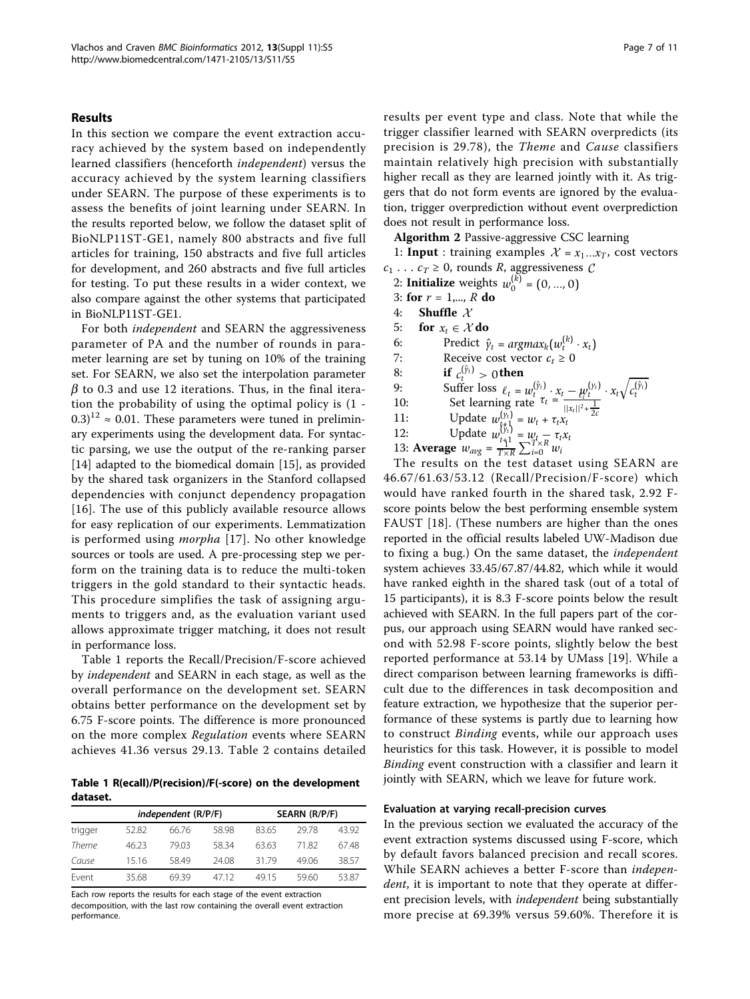#### Results

In this section we compare the event extraction accuracy achieved by the system based on independently learned classifiers (henceforth independent) versus the accuracy achieved by the system learning classifiers under SEARN. The purpose of these experiments is to assess the benefits of joint learning under SEARN. In the results reported below, we follow the dataset split of BioNLP11ST-GE1, namely 800 abstracts and five full articles for training, 150 abstracts and five full articles for development, and 260 abstracts and five full articles for testing. To put these results in a wider context, we also compare against the other systems that participated in BioNLP11ST-GE1.

For both independent and SEARN the aggressiveness parameter of PA and the number of rounds in parameter learning are set by tuning on 10% of the training set. For SEARN, we also set the interpolation parameter  $\beta$  to 0.3 and use 12 iterations. Thus, in the final iteration the probability of using the optimal policy is (1 -  $(0.3)^{12} \approx 0.01$ . These parameters were tuned in preliminary experiments using the development data. For syntactic parsing, we use the output of the re-ranking parser [[14\]](#page-10-0) adapted to the biomedical domain [[15](#page-10-0)], as provided by the shared task organizers in the Stanford collapsed dependencies with conjunct dependency propagation [[16](#page-10-0)]. The use of this publicly available resource allows for easy replication of our experiments. Lemmatization is performed using morpha [\[17\]](#page-10-0). No other knowledge sources or tools are used. A pre-processing step we perform on the training data is to reduce the multi-token triggers in the gold standard to their syntactic heads. This procedure simplifies the task of assigning arguments to triggers and, as the evaluation variant used allows approximate trigger matching, it does not result in performance loss.

Table 1 reports the Recall/Precision/F-score achieved by independent and SEARN in each stage, as well as the overall performance on the development set. SEARN obtains better performance on the development set by 6.75 F-score points. The difference is more pronounced on the more complex Regulation events where SEARN achieves 41.36 versus 29.13. Table [2](#page-7-0) contains detailed

Table 1 R(ecall)/P(recision)/F(-score) on the development dataset.

|         |       | independent (R/P/F) |       | <b>SEARN (R/P/F)</b> |       |       |  |
|---------|-------|---------------------|-------|----------------------|-------|-------|--|
| trigger | 52.82 | 66 76               | 58.98 | 8365                 | 29.78 | 43.92 |  |
| Theme   | 4623  | 7903                | 5834  | 63.63                | 71.82 | 6748  |  |
| Cause   | 15.16 | 5849                | 24.08 | 3179                 | 49.06 | 38.57 |  |
| Fvent   | 35.68 | 6939                | 4712  | 4915                 | 59.60 | 53.87 |  |

Each row reports the results for each stage of the event extraction decomposition, with the last row containing the overall event extraction performance.

results per event type and class. Note that while the trigger classifier learned with SEARN overpredicts (its precision is 29.78), the Theme and Cause classifiers maintain relatively high precision with substantially higher recall as they are learned jointly with it. As triggers that do not form events are ignored by the evaluation, trigger overprediction without event overprediction does not result in performance loss.

Algorithm 2 Passive-aggressive CSC learning

1: **Input** : training examples  $X = x_1...x_T$ , cost vectors  $c_1 \ldots c_T \geq 0$ , rounds *R*, aggressiveness *C* 

- 2: **Initialize** weights  $w_0^{(k)} = (0, ..., 0)$
- 3: for  $r = 1,..., R$  do
- 4: **Shuffle**  $\mathcal{X}$ <br>5: **for**  $x_t \in \mathcal{X}$
- 5: **for**  $x_t \in \mathcal{X}$  do **6:** Predict *i* 6: Predict  $\hat{\gamma}_t = argmax_k(w_t^{(k)} \cdot x_t)$ 7: Receive cost vector  $c_t \geq 0$ 8: **if**  $c_t^{(\hat{y}_t)} > 0$  then

9: Suffer loss  $\ell_t = w_t^{(\hat{y}_t)} \cdot x_t - \mu_t^{(y_t)} \cdot x_t \sqrt{c_t^{(\hat{y}_t)}}$ <br>
10: Set learning rate  $\tau_t = \frac{1}{|x_t|^{2} + \frac{1}{2c}} \cdot x_t \sqrt{c_t^{(\hat{y}_t)}}$ <br>
11: Update  $w_{t+1}^{(y_t)} = w_t + \tau_t x_t$ 

11. 
$$
\text{Cpart } w_{t+1} = w_t + \iota_t x_t
$$

12: Update  $w_{t+1}^{(\tilde{\gamma}_t)} = w_t - \tau_t x_t$ 13: **Average**  $w_{avg} = \frac{1}{T \times R} \sum_{i=0}^{T \times R} w_i$ 

The results on the test dataset using SEARN are 46.67/61.63/53.12 (Recall/Precision/F-score) which would have ranked fourth in the shared task, 2.92 Fscore points below the best performing ensemble system FAUST [[18\]](#page-10-0). (These numbers are higher than the ones reported in the official results labeled UW-Madison due to fixing a bug.) On the same dataset, the *independent* system achieves 33.45/67.87/44.82, which while it would have ranked eighth in the shared task (out of a total of 15 participants), it is 8.3 F-score points below the result achieved with SEARN. In the full papers part of the corpus, our approach using SEARN would have ranked second with 52.98 F-score points, slightly below the best reported performance at 53.14 by UMass [\[19](#page-10-0)]. While a direct comparison between learning frameworks is difficult due to the differences in task decomposition and feature extraction, we hypothesize that the superior performance of these systems is partly due to learning how to construct Binding events, while our approach uses heuristics for this task. However, it is possible to model Binding event construction with a classifier and learn it jointly with SEARN, which we leave for future work.

#### Evaluation at varying recall-precision curves

In the previous section we evaluated the accuracy of the event extraction systems discussed using F-score, which by default favors balanced precision and recall scores. While SEARN achieves a better F-score than independent, it is important to note that they operate at different precision levels, with independent being substantially more precise at 69.39% versus 59.60%. Therefore it is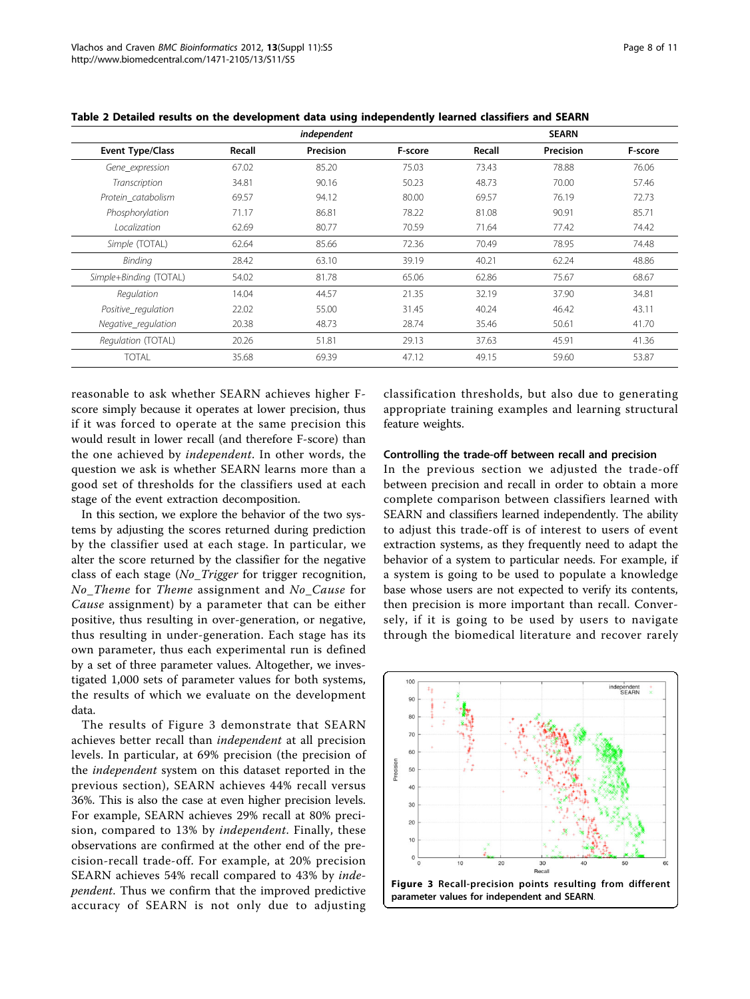|                                   |        | independent |         | <b>SEARN</b> |           |         |  |
|-----------------------------------|--------|-------------|---------|--------------|-----------|---------|--|
| <b>Event Type/Class</b>           | Recall | Precision   | F-score | Recall       | Precision | F-score |  |
| Gene_expression                   | 67.02  | 85.20       | 75.03   | 73.43        | 78.88     | 76.06   |  |
| Transcription                     | 34.81  | 90.16       | 50.23   | 48.73        | 70.00     | 57.46   |  |
| Protein catabolism                | 69.57  | 94.12       | 80.00   | 69.57        | 76.19     | 72.73   |  |
| Phosphorylation                   | 71.17  | 86.81       | 78.22   | 81.08        | 90.91     | 85.71   |  |
| <i><u><b>I</b>ocalization</u></i> | 62.69  | 80.77       | 70.59   | 71.64        | 77.42     | 74.42   |  |
| Simple (TOTAL)                    | 62.64  | 85.66       | 72.36   | 70.49        | 78.95     | 74.48   |  |
| Binding                           | 28.42  | 63.10       | 39.19   | 40.21        | 62.24     | 48.86   |  |
| Simple+Binding (TOTAL)            | 54.02  | 81.78       | 65.06   | 62.86        | 75.67     | 68.67   |  |
| Regulation                        | 14.04  | 44.57       | 21.35   | 32.19        | 37.90     | 34.81   |  |
| Positive_regulation               | 22.02  | 55.00       | 31.45   | 40.24        | 46.42     | 43.11   |  |
| Negative_regulation               | 20.38  | 48.73       | 28.74   | 35.46        | 50.61     | 41.70   |  |
| Regulation (TOTAL)                | 20.26  | 51.81       | 29.13   | 37.63        | 45.91     | 41.36   |  |
| <b>TOTAL</b>                      | 35.68  | 69.39       | 47.12   | 49.15        | 59.60     | 53.87   |  |

<span id="page-7-0"></span>Table 2 Detailed results on the development data using independently learned classifiers and SEARN

reasonable to ask whether SEARN achieves higher Fscore simply because it operates at lower precision, thus if it was forced to operate at the same precision this would result in lower recall (and therefore F-score) than the one achieved by independent. In other words, the question we ask is whether SEARN learns more than a good set of thresholds for the classifiers used at each stage of the event extraction decomposition.

In this section, we explore the behavior of the two systems by adjusting the scores returned during prediction by the classifier used at each stage. In particular, we alter the score returned by the classifier for the negative class of each stage (No\_Trigger for trigger recognition, No\_Theme for Theme assignment and No\_Cause for Cause assignment) by a parameter that can be either positive, thus resulting in over-generation, or negative, thus resulting in under-generation. Each stage has its own parameter, thus each experimental run is defined by a set of three parameter values. Altogether, we investigated 1,000 sets of parameter values for both systems, the results of which we evaluate on the development data.

The results of Figure 3 demonstrate that SEARN achieves better recall than independent at all precision levels. In particular, at 69% precision (the precision of the independent system on this dataset reported in the previous section), SEARN achieves 44% recall versus 36%. This is also the case at even higher precision levels. For example, SEARN achieves 29% recall at 80% precision, compared to 13% by independent. Finally, these observations are confirmed at the other end of the precision-recall trade-off. For example, at 20% precision SEARN achieves 54% recall compared to 43% by independent. Thus we confirm that the improved predictive accuracy of SEARN is not only due to adjusting

classification thresholds, but also due to generating appropriate training examples and learning structural feature weights.

#### Controlling the trade-off between recall and precision

In the previous section we adjusted the trade-off between precision and recall in order to obtain a more complete comparison between classifiers learned with SEARN and classifiers learned independently. The ability to adjust this trade-off is of interest to users of event extraction systems, as they frequently need to adapt the behavior of a system to particular needs. For example, if a system is going to be used to populate a knowledge base whose users are not expected to verify its contents, then precision is more important than recall. Conversely, if it is going to be used by users to navigate through the biomedical literature and recover rarely

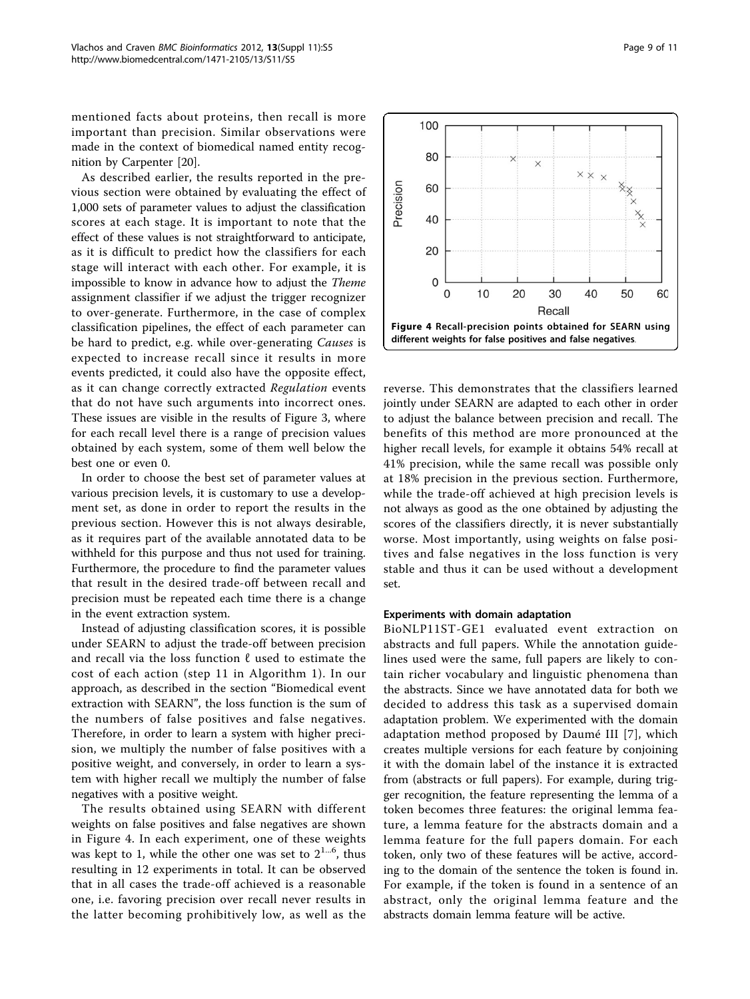mentioned facts about proteins, then recall is more important than precision. Similar observations were made in the context of biomedical named entity recognition by Carpenter [[20\]](#page-10-0).

As described earlier, the results reported in the previous section were obtained by evaluating the effect of 1,000 sets of parameter values to adjust the classification scores at each stage. It is important to note that the effect of these values is not straightforward to anticipate, as it is difficult to predict how the classifiers for each stage will interact with each other. For example, it is impossible to know in advance how to adjust the Theme assignment classifier if we adjust the trigger recognizer to over-generate. Furthermore, in the case of complex classification pipelines, the effect of each parameter can be hard to predict, e.g. while over-generating Causes is expected to increase recall since it results in more events predicted, it could also have the opposite effect, as it can change correctly extracted Regulation events that do not have such arguments into incorrect ones. These issues are visible in the results of Figure [3](#page-7-0), where for each recall level there is a range of precision values obtained by each system, some of them well below the best one or even 0.

In order to choose the best set of parameter values at various precision levels, it is customary to use a development set, as done in order to report the results in the previous section. However this is not always desirable, as it requires part of the available annotated data to be withheld for this purpose and thus not used for training. Furthermore, the procedure to find the parameter values that result in the desired trade-off between recall and precision must be repeated each time there is a change in the event extraction system.

Instead of adjusting classification scores, it is possible under SEARN to adjust the trade-off between precision and recall via the loss function  $\ell$  used to estimate the cost of each action (step 11 in Algorithm 1). In our approach, as described in the section "Biomedical event extraction with SEARN", the loss function is the sum of the numbers of false positives and false negatives. Therefore, in order to learn a system with higher precision, we multiply the number of false positives with a positive weight, and conversely, in order to learn a system with higher recall we multiply the number of false negatives with a positive weight.

The results obtained using SEARN with different weights on false positives and false negatives are shown in Figure 4. In each experiment, one of these weights was kept to 1, while the other one was set to  $2^{1...6}$ , thus resulting in 12 experiments in total. It can be observed that in all cases the trade-off achieved is a reasonable one, i.e. favoring precision over recall never results in the latter becoming prohibitively low, as well as the



reverse. This demonstrates that the classifiers learned jointly under SEARN are adapted to each other in order to adjust the balance between precision and recall. The benefits of this method are more pronounced at the higher recall levels, for example it obtains 54% recall at 41% precision, while the same recall was possible only at 18% precision in the previous section. Furthermore, while the trade-off achieved at high precision levels is not always as good as the one obtained by adjusting the scores of the classifiers directly, it is never substantially worse. Most importantly, using weights on false positives and false negatives in the loss function is very stable and thus it can be used without a development set.

#### Experiments with domain adaptation

BioNLP11ST-GE1 evaluated event extraction on abstracts and full papers. While the annotation guidelines used were the same, full papers are likely to contain richer vocabulary and linguistic phenomena than the abstracts. Since we have annotated data for both we decided to address this task as a supervised domain adaptation problem. We experimented with the domain adaptation method proposed by Daumé III [[7\]](#page-9-0), which creates multiple versions for each feature by conjoining it with the domain label of the instance it is extracted from (abstracts or full papers). For example, during trigger recognition, the feature representing the lemma of a token becomes three features: the original lemma feature, a lemma feature for the abstracts domain and a lemma feature for the full papers domain. For each token, only two of these features will be active, according to the domain of the sentence the token is found in. For example, if the token is found in a sentence of an abstract, only the original lemma feature and the abstracts domain lemma feature will be active.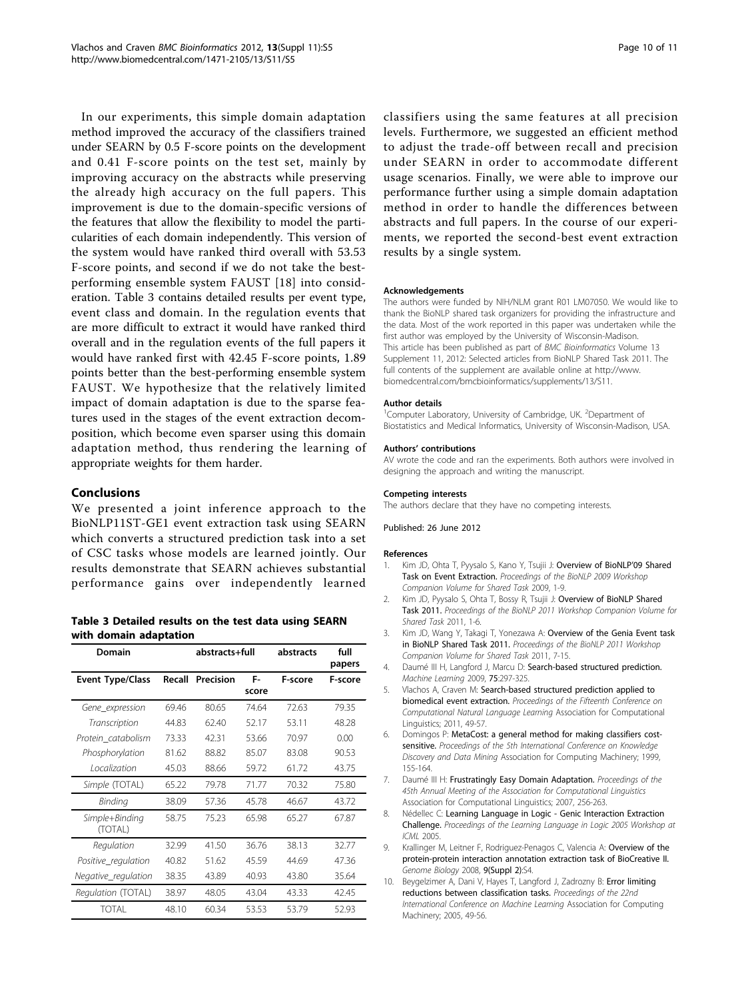<span id="page-9-0"></span>In our experiments, this simple domain adaptation method improved the accuracy of the classifiers trained under SEARN by 0.5 F-score points on the development and 0.41 F-score points on the test set, mainly by improving accuracy on the abstracts while preserving the already high accuracy on the full papers. This improvement is due to the domain-specific versions of the features that allow the flexibility to model the particularities of each domain independently. This version of the system would have ranked third overall with 53.53 F-score points, and second if we do not take the bestperforming ensemble system FAUST [[18](#page-10-0)] into consideration. Table 3 contains detailed results per event type, event class and domain. In the regulation events that are more difficult to extract it would have ranked third overall and in the regulation events of the full papers it would have ranked first with 42.45 F-score points, 1.89 points better than the best-performing ensemble system FAUST. We hypothesize that the relatively limited impact of domain adaptation is due to the sparse features used in the stages of the event extraction decomposition, which become even sparser using this domain adaptation method, thus rendering the learning of appropriate weights for them harder.

# Conclusions

We presented a joint inference approach to the BioNLP11ST-GE1 event extraction task using SEARN which converts a structured prediction task into a set of CSC tasks whose models are learned jointly. Our results demonstrate that SEARN achieves substantial performance gains over independently learned

Table 3 Detailed results on the test data using SEARN with domain adaptation

| Domain                            |        | abstracts+full |             | abstracts | full<br>papers |  |
|-----------------------------------|--------|----------------|-------------|-----------|----------------|--|
| <b>Event Type/Class</b>           | Recall | Precision      | F-<br>score | F-score   | F-score        |  |
| Gene_expression                   | 69.46  | 80.65          | 74.64       | 72.63     | 79.35          |  |
| Transcription                     | 44.83  | 62.40          | 52.17       | 53.11     | 48.28          |  |
| Protein catabolism                | 73.33  | 42.31          | 53.66       | 70.97     | 0.00           |  |
| Phosphorylation                   | 81.62  | 88.82          | 85.07       | 83.08     | 90.53          |  |
| <i><u><b>I</b>ocalization</u></i> | 45.03  | 88.66          | 59.72       | 61.72     | 43.75          |  |
| Simple (TOTAL)                    | 65.22  | 79.78          | 71.77       | 70.32     | 75.80          |  |
| Binding                           | 38.09  | 57.36          | 45.78       | 46.67     | 43.72          |  |
| Simple+Binding<br>(TOTAL)         | 58.75  | 75.23          | 65.98       | 65.27     | 67.87          |  |
| Regulation                        | 32.99  | 41.50          | 36.76       | 38.13     | 32.77          |  |
| Positive_regulation               | 40.82  | 51.62          | 45.59       | 44.69     | 47.36          |  |
| Negative_regulation               | 38.35  | 43.89          | 40.93       | 43.80     | 35.64          |  |
| Regulation (TOTAL)                | 38.97  | 48.05          | 43.04       | 43.33     | 42.45          |  |
| TOTAI                             | 48.10  | 60.34          | 53.53       | 53.79     | 52.93          |  |

classifiers using the same features at all precision levels. Furthermore, we suggested an efficient method to adjust the trade-off between recall and precision under SEARN in order to accommodate different usage scenarios. Finally, we were able to improve our performance further using a simple domain adaptation method in order to handle the differences between abstracts and full papers. In the course of our experiments, we reported the second-best event extraction results by a single system.

#### Acknowledgements

The authors were funded by NIH/NLM grant R01 LM07050. We would like to thank the BioNLP shared task organizers for providing the infrastructure and the data. Most of the work reported in this paper was undertaken while the first author was employed by the University of Wisconsin-Madison. This article has been published as part of BMC Bioinformatics Volume 13 Supplement 11, 2012: Selected articles from BioNLP Shared Task 2011. The full contents of the supplement are available online at [http://www.](http://www.biomedcentral.com/bmcbioinformatics/supplements/13/S11) [biomedcentral.com/bmcbioinformatics/supplements/13/S11](http://www.biomedcentral.com/bmcbioinformatics/supplements/13/S11).

#### Author details

<sup>1</sup> Computer Laboratory, University of Cambridge, UK. <sup>2</sup> Department of Biostatistics and Medical Informatics, University of Wisconsin-Madison, USA.

#### Authors' contributions

AV wrote the code and ran the experiments. Both authors were involved in designing the approach and writing the manuscript.

#### Competing interests

The authors declare that they have no competing interests.

Published: 26 June 2012

#### References

- 1. Kim JD, Ohta T, Pyysalo S, Kano Y, Tsujii J: Overview of BioNLP'09 Shared Task on Event Extraction. Proceedings of the BioNLP 2009 Workshop Companion Volume for Shared Task 2009, 1-9.
- 2. Kim JD, Pyysalo S, Ohta T, Bossy R, Tsujii J: Overview of BioNLP Shared Task 2011. Proceedings of the BioNLP 2011 Workshop Companion Volume for Shared Task 2011, 1-6.
- 3. Kim JD, Wang Y, Takagi T, Yonezawa A: Overview of the Genia Event task in BioNLP Shared Task 2011. Proceedings of the BioNLP 2011 Workshop Companion Volume for Shared Task 2011, 7-15.
- 4. Daumé III H, Langford J, Marcu D: Search-based structured prediction. Machine Learning 2009, 75:297-325.
- 5. Vlachos A, Craven M: Search-based structured prediction applied to biomedical event extraction. Proceedings of the Fifteenth Conference on Computational Natural Language Learning Association for Computational Linguistics; 2011, 49-57.
- 6. Domingos P: MetaCost: a general method for making classifiers costsensitive. Proceedings of the 5th International Conference on Knowledge Discovery and Data Mining Association for Computing Machinery; 1999, 155-164.
- 7. Daumé III H: Frustratingly Easy Domain Adaptation. Proceedings of the 45th Annual Meeting of the Association for Computational Linguistics Association for Computational Linguistics; 2007, 256-263.
- 8. Nédellec C: Learning Language in Logic Genic Interaction Extraction Challenge. Proceedings of the Learning Language in Logic 2005 Workshop at ICML 2005.
- 9. Krallinger M, Leitner F, Rodriguez-Penagos C, Valencia A: Overview of the protein-protein interaction annotation extraction task of BioCreative II. Genome Biology 2008, 9(Suppl 2):S4.
- 10. Beygelzimer A, Dani V, Hayes T, Langford J, Zadrozny B: Error limiting reductions between classification tasks. Proceedings of the 22nd International Conference on Machine Learning Association for Computing Machinery; 2005, 49-56.